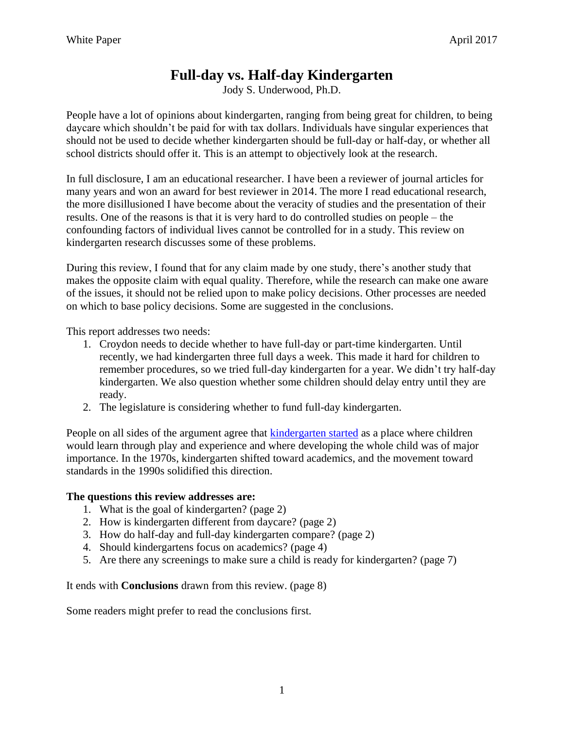# **Full-day vs. Half-day Kindergarten**

Jody S. Underwood, Ph.D.

People have a lot of opinions about kindergarten, ranging from being great for children, to being daycare which shouldn't be paid for with tax dollars. Individuals have singular experiences that should not be used to decide whether kindergarten should be full-day or half-day, or whether all school districts should offer it. This is an attempt to objectively look at the research.

In full disclosure, I am an educational researcher. I have been a reviewer of journal articles for many years and won an award for best reviewer in 2014. The more I read educational research, the more disillusioned I have become about the veracity of studies and the presentation of their results. One of the reasons is that it is very hard to do controlled studies on people – the confounding factors of individual lives cannot be controlled for in a study. This review on kindergarten research discusses some of these problems.

During this review, I found that for any claim made by one study, there's another study that makes the opposite claim with equal quality. Therefore, while the research can make one aware of the issues, it should not be relied upon to make policy decisions. Other processes are needed on which to base policy decisions. Some are suggested in the conclusions.

This report addresses two needs:

- 1. Croydon needs to decide whether to have full-day or part-time kindergarten. Until recently, we had kindergarten three full days a week. This made it hard for children to remember procedures, so we tried full-day kindergarten for a year. We didn't try half-day kindergarten. We also question whether some children should delay entry until they are ready.
- 2. The legislature is considering whether to fund full-day kindergarten.

People on all sides of the argument agree that [kindergarten started](https://www.sarahlawrence.edu/media/cdi/pdf/ReadinginKindergartenreport.pdf) as a place where children would learn through play and experience and where developing the whole child was of major importance. In the 1970s, kindergarten shifted toward academics, and the movement toward standards in the 1990s solidified this direction.

#### **The questions this review addresses are:**

- 1. What is the goal of kindergarten? (page 2)
- 2. How is kindergarten different from daycare? (page 2)
- 3. How do half-day and full-day kindergarten compare? (page 2)
- 4. Should kindergartens focus on academics? (page 4)
- 5. Are there any screenings to make sure a child is ready for kindergarten? (page 7)

It ends with **Conclusions** drawn from this review. (page 8)

Some readers might prefer to read the conclusions first.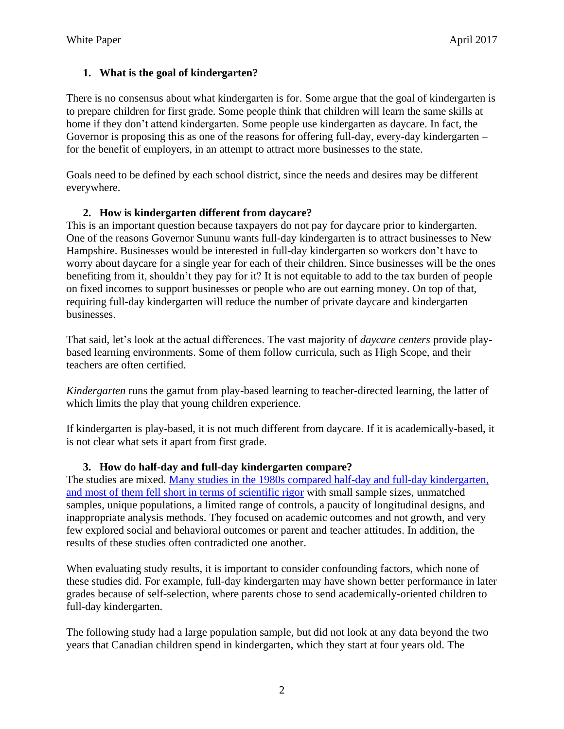## **1. What is the goal of kindergarten?**

There is no consensus about what kindergarten is for. Some argue that the goal of kindergarten is to prepare children for first grade. Some people think that children will learn the same skills at home if they don't attend kindergarten. Some people use kindergarten as daycare. In fact, the Governor is proposing this as one of the reasons for offering full-day, every-day kindergarten – for the benefit of employers, in an attempt to attract more businesses to the state.

Goals need to be defined by each school district, since the needs and desires may be different everywhere.

### **2. How is kindergarten different from daycare?**

This is an important question because taxpayers do not pay for daycare prior to kindergarten. One of the reasons Governor Sununu wants full-day kindergarten is to attract businesses to New Hampshire. Businesses would be interested in full-day kindergarten so workers don't have to worry about daycare for a single year for each of their children. Since businesses will be the ones benefiting from it, shouldn't they pay for it? It is not equitable to add to the tax burden of people on fixed incomes to support businesses or people who are out earning money. On top of that, requiring full-day kindergarten will reduce the number of private daycare and kindergarten businesses.

That said, let's look at the actual differences. The vast majority of *daycare centers* provide playbased learning environments. Some of them follow curricula, such as High Scope, and their teachers are often certified.

*Kindergarten* runs the gamut from play-based learning to teacher-directed learning, the latter of which limits the play that young children experience.

If kindergarten is play-based, it is not much different from daycare. If it is academically-based, it is not clear what sets it apart from first grade.

#### **3. How do half-day and full-day kindergarten compare?**

The studies are mixed. Many studies in the 1980s compared half-day and full-day kindergarten, and most of them [fell short in terms of scientific rigor](http://www.jstor.org/stable/10.1086/498994) with small sample sizes, unmatched samples, unique populations, a limited range of controls, a paucity of longitudinal designs, and inappropriate analysis methods. They focused on academic outcomes and not growth, and very few explored social and behavioral outcomes or parent and teacher attitudes. In addition, the results of these studies often contradicted one another.

When evaluating study results, it is important to consider confounding factors, which none of these studies did. For example, full-day kindergarten may have shown better performance in later grades because of self-selection, where parents chose to send academically-oriented children to full-day kindergarten.

The following study had a large population sample, but did not look at any data beyond the two years that Canadian children spend in kindergarten, which they start at four years old. The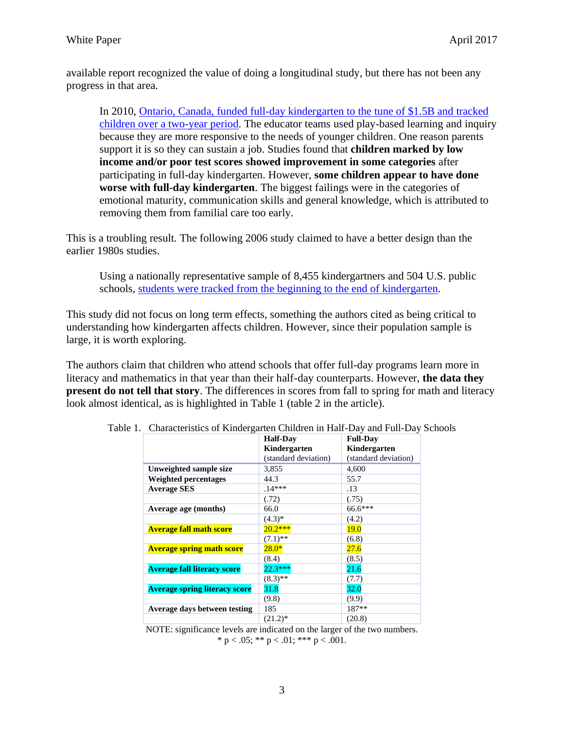available report recognized the value of doing a longitudinal study, but there has not been any progress in that area.

In 2010, [Ontario, Canada, funded full-day kindergarten to the tune of \\$1.5B and tracked](http://www.macleans.ca/general/why-full-day-kindergarten-is-failing-our-children/)  [children over a two-year period.](http://www.macleans.ca/general/why-full-day-kindergarten-is-failing-our-children/) The educator teams used play-based learning and inquiry because they are more responsive to the needs of younger children. One reason parents support it is so they can sustain a job. Studies found that **children marked by low income and/or poor test scores showed improvement in some categories** after participating in full-day kindergarten. However, **some children appear to have done worse with full-day kindergarten**. The biggest failings were in the categories of emotional maturity, communication skills and general knowledge, which is attributed to removing them from familial care too early.

This is a troubling result. The following 2006 study claimed to have a better design than the earlier 1980s studies.

Using a nationally representative sample of 8,455 kindergartners and 504 U.S. public schools, [students were tracked from the beginning to the end of kindergarten.](http://www.jstor.org/stable/10.1086/498994)

This study did not focus on long term effects, something the authors cited as being critical to understanding how kindergarten affects children. However, since their population sample is large, it is worth exploring.

The authors claim that children who attend schools that offer full-day programs learn more in literacy and mathematics in that year than their half-day counterparts. However, **the data they present do not tell that story**. The differences in scores from fall to spring for math and literacy look almost identical, as is highlighted in Table 1 (table 2 in the article).

|                                      | <b>Half-Day</b>      | <b>Full-Day</b>      |
|--------------------------------------|----------------------|----------------------|
|                                      | Kindergarten         | Kindergarten         |
|                                      | (standard deviation) | (standard deviation) |
| Unweighted sample size               | 3,855                | 4,600                |
| <b>Weighted percentages</b>          | 44.3                 | 55.7                 |
| <b>Average SES</b>                   | $.14***$             | .13                  |
|                                      | (.72)                | (.75)                |
| Average age (months)                 | 66.0                 | 66.6***              |
|                                      | $(4.3)*$             | (4.2)                |
| <b>Average fall math score</b>       | $20.2***$            | <b>19.0</b>          |
|                                      | $(7.1)$ **           | (6.8)                |
| <b>Average spring math score</b>     | $28.0*$              | 27.6                 |
|                                      | (8.4)                | (8.5)                |
| <b>Average fall literacy score</b>   | $22.3***$            | 21.6                 |
|                                      | $(8.3)$ **           | (7.7)                |
| <b>Average spring literacy score</b> | 31.8                 | 32.0                 |
|                                      | (9.8)                | (9.9)                |
| Average days between testing         | 185                  | $187**$              |
|                                      | $(21.2)^*$           | (20.8)               |

Table 1. Characteristics of Kindergarten Children in Half-Day and Full-Day Schools

NOTE: significance levels are indicated on the larger of the two numbers. \* p < .05; \*\* p < .01; \*\*\* p < .001.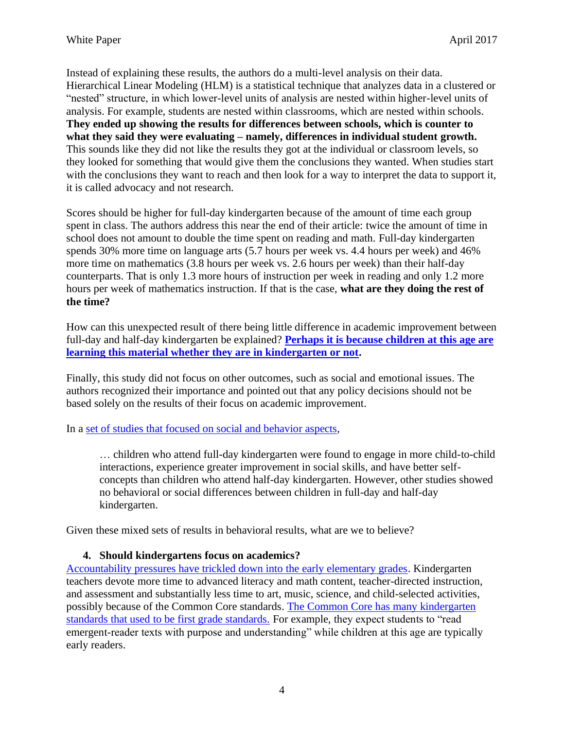Instead of explaining these results, the authors do a multi-level analysis on their data. Hierarchical Linear Modeling (HLM) is a statistical technique that analyzes data in a clustered or "nested" structure, in which lower-level units of analysis are nested within higher-level units of analysis. For example, students are nested within classrooms, which are nested within schools. **They ended up showing the results for differences between schools, which is counter to what they said they were evaluating – namely, differences in individual student growth.** This sounds like they did not like the results they got at the individual or classroom levels, so they looked for something that would give them the conclusions they wanted. When studies start with the conclusions they want to reach and then look for a way to interpret the data to support it, it is called advocacy and not research.

Scores should be higher for full-day kindergarten because of the amount of time each group spent in class. The authors address this near the end of their article: twice the amount of time in school does not amount to double the time spent on reading and math. Full-day kindergarten spends 30% more time on language arts (5.7 hours per week vs. 4.4 hours per week) and 46% more time on mathematics (3.8 hours per week vs. 2.6 hours per week) than their half-day counterparts. That is only 1.3 more hours of instruction per week in reading and only 1.2 more hours per week of mathematics instruction. If that is the case, **what are they doing the rest of the time?**

How can this unexpected result of there being little difference in academic improvement between full-day and half-day kindergarten be explained? **Perhaps it is [because children at this age are](http://ishmael.org/Education/Writings/unschooling.shtml)  [learning this material whether they are in kindergarten or not.](http://ishmael.org/Education/Writings/unschooling.shtml)**

Finally, this study did not focus on other outcomes, such as social and emotional issues. The authors recognized their importance and pointed out that any policy decisions should not be based solely on the results of their focus on academic improvement.

In a [set of studies that focused on social and behavior aspects,](http://www.jstor.org/stable/10.1086/498994)

… children who attend full-day kindergarten were found to engage in more child-to-child interactions, experience greater improvement in social skills, and have better selfconcepts than children who attend half-day kindergarten. However, other studies showed no behavioral or social differences between children in full-day and half-day kindergarten.

Given these mixed sets of results in behavioral results, what are we to believe?

#### **4. Should kindergartens focus on academics?**

[Accountability pressures have trickled down into the early elementary grades.](http://journals.sagepub.com/doi/abs/10.1177/2332858415616358) Kindergarten teachers devote more time to advanced literacy and math content, teacher-directed instruction, and assessment and substantially less time to art, music, science, and child-selected activities, possibly because of the Common Core standards. [The Common Core has many kindergarten](https://www.sarahlawrence.edu/media/cdi/pdf/ReadinginKindergartenreport.pdf)  [standards that used to be first grade standards.](https://www.sarahlawrence.edu/media/cdi/pdf/ReadinginKindergartenreport.pdf) For example, they expect students to "read emergent-reader texts with purpose and understanding" while children at this age are typically early readers.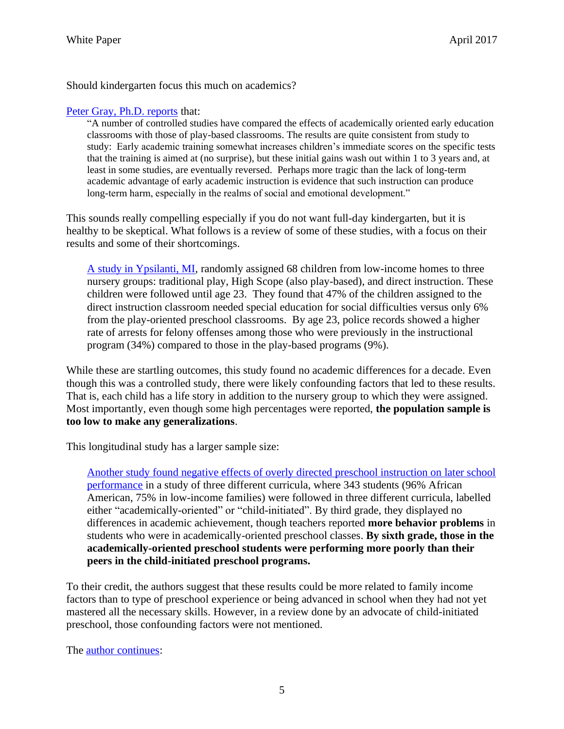Should kindergarten focus this much on academics?

#### [Peter Gray, Ph.D. reports](https://www.psychologytoday.com/blog/freedom-learn/201505/early-academic-training-produces-long-term-harm) that:

"A number of controlled studies have compared the effects of academically oriented early education classrooms with those of play-based classrooms. The results are quite consistent from study to study: Early academic training somewhat increases children's immediate scores on the specific tests that the training is aimed at (no surprise), but these initial gains wash out within 1 to 3 years and, at least in some studies, are eventually reversed. Perhaps more tragic than the lack of long-term academic advantage of early academic instruction is evidence that such instruction can produce long-term harm, especially in the realms of social and emotional development."

This sounds really compelling especially if you do not want full-day kindergarten, but it is healthy to be skeptical. What follows is a review of some of these studies, with a focus on their results and some of their shortcomings.

A [study in Ypsilanti, MI,](https://www.researchgate.net/publication/223945167_The_HighScope_Preschool_Curriculum_Comparison_Study_Through_Age_23) randomly assigned 68 children from low-income homes to three nursery groups: traditional play, High Scope (also play-based), and direct instruction. These children were followed until age 23. They found that 47% of the children assigned to the direct instruction classroom needed special education for social difficulties versus only 6% from the play-oriented preschool classrooms. By age 23, police records showed a higher rate of arrests for felony offenses among those who were previously in the instructional program (34%) compared to those in the play-based programs (9%).

While these are startling outcomes, this study found no academic differences for a decade. Even though this was a controlled study, there were likely confounding factors that led to these results. That is, each child has a life story in addition to the nursery group to which they were assigned. Most importantly, even though some high percentages were reported, **the population sample is too low to make any generalizations**.

This longitudinal study has a larger sample size:

Another study [found negative effects of overly directed preschool instruction on later school](http://ecrp.uiuc.edu/v4n1/marcon.html)  [performance](http://ecrp.uiuc.edu/v4n1/marcon.html) in a study of three different curricula, where 343 students (96% African American, 75% in low-income families) were followed in three different curricula, labelled either "academically-oriented" or "child-initiated". By third grade, they displayed no differences in academic achievement, though teachers reported **more behavior problems** in students who were in academically-oriented preschool classes. **By sixth grade, those in the academically-oriented preschool students were performing more poorly than their peers in the child-initiated preschool programs.**

To their credit, the authors suggest that these results could be more related to family income factors than to type of preschool experience or being advanced in school when they had not yet mastered all the necessary skills. However, in a review done by an advocate of child-initiated preschool, those confounding factors were not mentioned.

The [author continues:](http://ecrp.uiuc.edu/v4n1/marcon.html)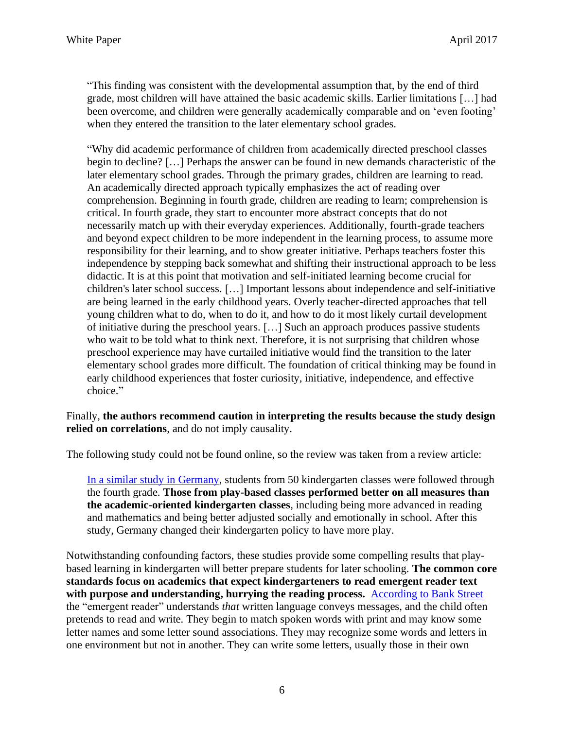"This finding was consistent with the developmental assumption that, by the end of third grade, most children will have attained the basic academic skills. Earlier limitations […] had been overcome, and children were generally academically comparable and on 'even footing' when they entered the transition to the later elementary school grades.

"Why did academic performance of children from academically directed preschool classes begin to decline? […] Perhaps the answer can be found in new demands characteristic of the later elementary school grades. Through the primary grades, children are learning to read. An academically directed approach typically emphasizes the act of reading over comprehension. Beginning in fourth grade, children are reading to learn; comprehension is critical. In fourth grade, they start to encounter more abstract concepts that do not necessarily match up with their everyday experiences. Additionally, fourth-grade teachers and beyond expect children to be more independent in the learning process, to assume more responsibility for their learning, and to show greater initiative. Perhaps teachers foster this independence by stepping back somewhat and shifting their instructional approach to be less didactic. It is at this point that motivation and self-initiated learning become crucial for children's later school success. […] Important lessons about independence and self-initiative are being learned in the early childhood years. Overly teacher-directed approaches that tell young children what to do, when to do it, and how to do it most likely curtail development of initiative during the preschool years. […] Such an approach produces passive students who wait to be told what to think next. Therefore, it is not surprising that children whose preschool experience may have curtailed initiative would find the transition to the later elementary school grades more difficult. The foundation of critical thinking may be found in early childhood experiences that foster curiosity, initiative, independence, and effective choice."

#### Finally, **the authors recommend caution in interpreting the results because the study design relied on correlations**, and do not imply causality.

The following study could not be found online, so the review was taken from a review article:

[In a similar study in Germany,](https://www.psychologytoday.com/blog/freedom-learn/201505/early-academic-training-produces-long-term-harm) students from 50 kindergarten classes were followed through the fourth grade. **Those from play-based classes performed better on all measures than the academic-oriented kindergarten classes**, including being more advanced in reading and mathematics and being better adjusted socially and emotionally in school. After this study, Germany changed their kindergarten policy to have more play.

Notwithstanding confounding factors, these studies provide some compelling results that playbased learning in kindergarten will better prepare students for later schooling. **The common core standards focus on academics that expect kindergarteners to read emergent reader text with purpose and understanding, hurrying the reading process.** [According to Bank Street](https://www.bankstreet.edu/literacy-guide/early-literacy-development/emergent-readers-and-writers/) the "emergent reader" understands *that* written language conveys messages, and the child often pretends to read and write. They begin to match spoken words with print and may know some letter names and some letter sound associations. They may recognize some words and letters in one environment but not in another. They can write some letters, usually those in their own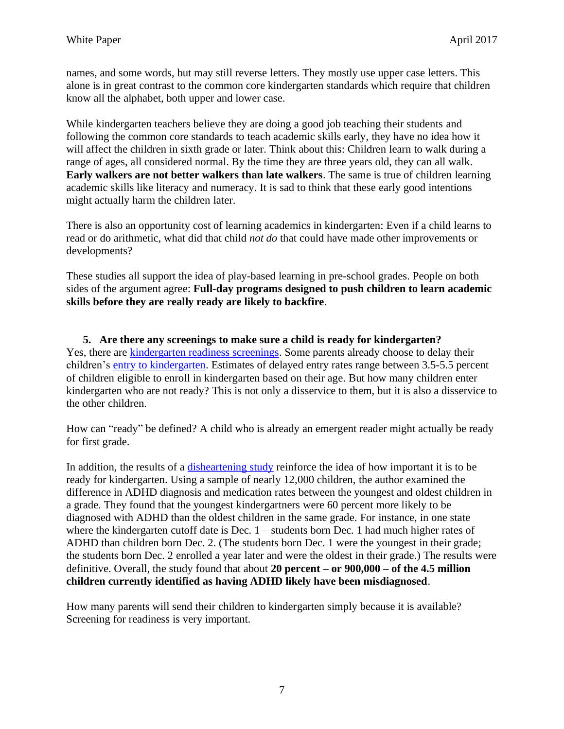names, and some words, but may still reverse letters. They mostly use upper case letters. This alone is in great contrast to the common core kindergarten standards which require that children know all the alphabet, both upper and lower case.

While kindergarten teachers believe they are doing a good job teaching their students and following the common core standards to teach academic skills early, they have no idea how it will affect the children in sixth grade or later. Think about this: Children learn to walk during a range of ages, all considered normal. By the time they are three years old, they can all walk. **Early walkers are not better walkers than late walkers**. The same is true of children learning academic skills like literacy and numeracy. It is sad to think that these early good intentions might actually harm the children later.

There is also an opportunity cost of learning academics in kindergarten: Even if a child learns to read or do arithmetic, what did that child *not do* that could have made other improvements or developments?

These studies all support the idea of play-based learning in pre-school grades. People on both sides of the argument agree: **Full-day programs designed to push children to learn academic skills before they are really ready are likely to backfire**.

**5. Are there any screenings to make sure a child is ready for kindergarten?** Yes, there are [kindergarten readiness screenings.](https://www.verywell.com/kindergarten-screening-what-to-expect-2764504) Some parents already choose to delay their children's [entry to kindergarten.](https://www.brookings.edu/blog/brown-center-chalkboard/2016/06/22/how-much-does-it-benefit-a-child-to-delay-kindergarten-entry-for-a-year/) Estimates of [delayed entry rates](http://ero.sagepub.com/content/1/2/2332858415590800.abstract) range between 3.5-5.5 percent of children eligible to enroll in kindergarten based on their age. But how many children enter kindergarten who are not ready? This is not only a disservice to them, but it is also a disservice to the other children.

How can "ready" be defined? A child who is already an emergent reader might actually be ready for first grade.

In addition, the results of a [disheartening study](http://msutoday.msu.edu/news/2010/nearly-1-million-children-potentially-misdiagnosed-with-adhd/) reinforce the idea of how important it is to be ready for kindergarten. Using a sample of nearly 12,000 children, the author examined the difference in ADHD diagnosis and medication rates between the youngest and oldest children in a grade. They found that the youngest kindergartners were 60 percent more likely to be diagnosed with ADHD than the oldest children in the same grade. For instance, in one state where the kindergarten cutoff date is Dec. 1 – students born Dec. 1 had much higher rates of ADHD than children born Dec. 2. (The students born Dec. 1 were the youngest in their grade; the students born Dec. 2 enrolled a year later and were the oldest in their grade.) The results were definitive. Overall, the study found that about **20 percent – or 900,000 – of the 4.5 million children currently identified as having ADHD likely have been misdiagnosed**.

How many parents will send their children to kindergarten simply because it is available? Screening for readiness is very important.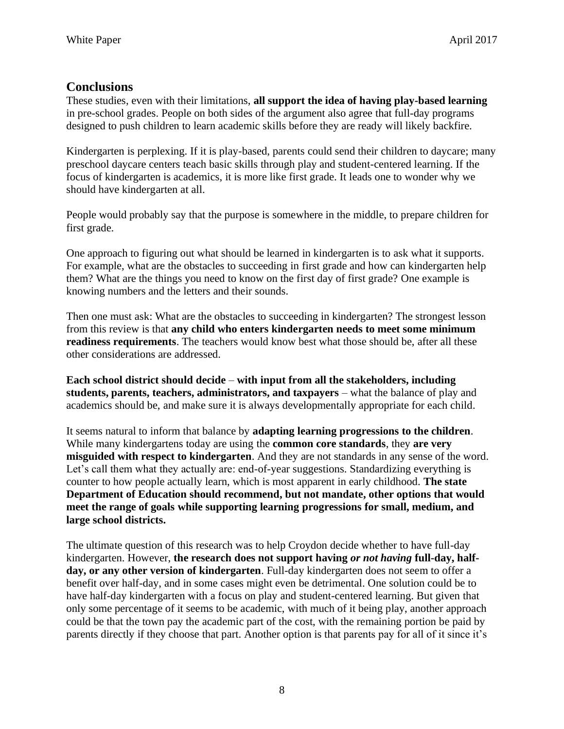# **Conclusions**

These studies, even with their limitations, **all support the idea of having play-based learning** in pre-school grades. People on both sides of the argument also agree that full-day programs designed to push children to learn academic skills before they are ready will likely backfire.

Kindergarten is perplexing. If it is play-based, parents could send their children to daycare; many preschool daycare centers teach basic skills through play and student-centered learning. If the focus of kindergarten is academics, it is more like first grade. It leads one to wonder why we should have kindergarten at all.

People would probably say that the purpose is somewhere in the middle, to prepare children for first grade.

One approach to figuring out what should be learned in kindergarten is to ask what it supports. For example, what are the obstacles to succeeding in first grade and how can kindergarten help them? What are the things you need to know on the first day of first grade? One example is knowing numbers and the letters and their sounds.

Then one must ask: What are the obstacles to succeeding in kindergarten? The strongest lesson from this review is that **any child who enters kindergarten needs to meet some minimum readiness requirements**. The teachers would know best what those should be, after all these other considerations are addressed.

**Each school district should decide** – **with input from all the stakeholders, including students, parents, teachers, administrators, and taxpayers** – what the balance of play and academics should be, and make sure it is always developmentally appropriate for each child.

It seems natural to inform that balance by **adapting learning progressions to the children**. While many kindergartens today are using the **common core standards**, they **are very misguided with respect to kindergarten**. And they are not standards in any sense of the word. Let's call them what they actually are: end-of-year suggestions. Standardizing everything is counter to how people actually learn, which is most apparent in early childhood. **The state Department of Education should recommend, but not mandate, other options that would meet the range of goals while supporting learning progressions for small, medium, and large school districts.** 

The ultimate question of this research was to help Croydon decide whether to have full-day kindergarten. However, **the research does not support having** *or not having* **full-day, halfday, or any other version of kindergarten**. Full-day kindergarten does not seem to offer a benefit over half-day, and in some cases might even be detrimental. One solution could be to have half-day kindergarten with a focus on play and student-centered learning. But given that only some percentage of it seems to be academic, with much of it being play, another approach could be that the town pay the academic part of the cost, with the remaining portion be paid by parents directly if they choose that part. Another option is that parents pay for all of it since it's